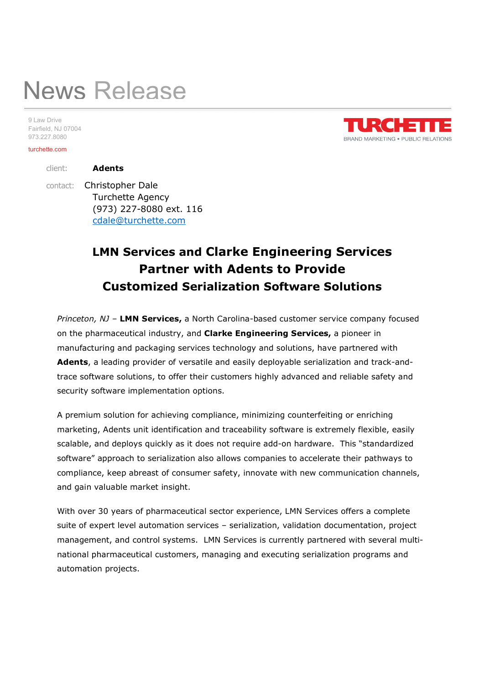# News Release

9 Law Drive Fairfield, NJ 07004 973.227.8080

#### turchette.com

client: Adents

 contact: Christopher Dale Turchette Agency (973) 227-8080 ext. 116 cdale@turchette.com

## LMN Services and Clarke Engineering Services Partner with Adents to Provide Customized Serialization Software Solutions

Princeton, NJ - LMN Services, a North Carolina-based customer service company focused on the pharmaceutical industry, and Clarke Engineering Services, a pioneer in manufacturing and packaging services technology and solutions, have partnered with Adents, a leading provider of versatile and easily deployable serialization and track-andtrace software solutions, to offer their customers highly advanced and reliable safety and security software implementation options.

A premium solution for achieving compliance, minimizing counterfeiting or enriching marketing, Adents unit identification and traceability software is extremely flexible, easily scalable, and deploys quickly as it does not require add-on hardware. This "standardized software" approach to serialization also allows companies to accelerate their pathways to compliance, keep abreast of consumer safety, innovate with new communication channels, and gain valuable market insight.

With over 30 years of pharmaceutical sector experience, LMN Services offers a complete suite of expert level automation services – serialization, validation documentation, project management, and control systems. LMN Services is currently partnered with several multinational pharmaceutical customers, managing and executing serialization programs and automation projects.

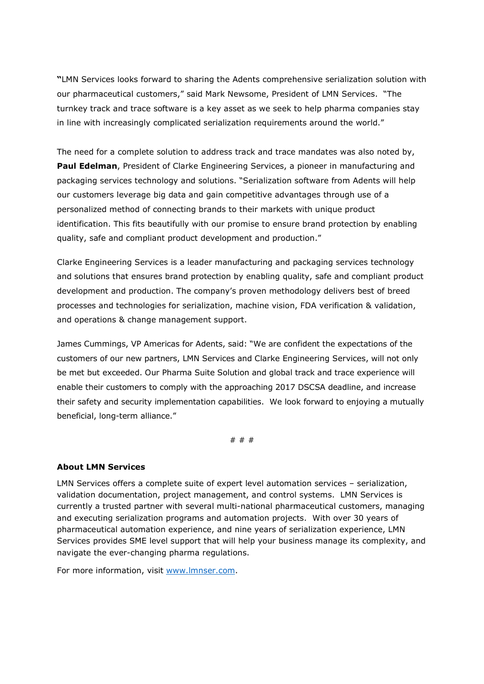"LMN Services looks forward to sharing the Adents comprehensive serialization solution with our pharmaceutical customers," said Mark Newsome, President of LMN Services. "The turnkey track and trace software is a key asset as we seek to help pharma companies stay in line with increasingly complicated serialization requirements around the world."

The need for a complete solution to address track and trace mandates was also noted by, **Paul Edelman**, President of Clarke Engineering Services, a pioneer in manufacturing and packaging services technology and solutions. "Serialization software from Adents will help our customers leverage big data and gain competitive advantages through use of a personalized method of connecting brands to their markets with unique product identification. This fits beautifully with our promise to ensure brand protection by enabling quality, safe and compliant product development and production."

Clarke Engineering Services is a leader manufacturing and packaging services technology and solutions that ensures brand protection by enabling quality, safe and compliant product development and production. The company's proven methodology delivers best of breed processes and technologies for serialization, machine vision, FDA verification & validation, and operations & change management support.

James Cummings, VP Americas for Adents, said: "We are confident the expectations of the customers of our new partners, LMN Services and Clarke Engineering Services, will not only be met but exceeded. Our Pharma Suite Solution and global track and trace experience will enable their customers to comply with the approaching 2017 DSCSA deadline, and increase their safety and security implementation capabilities. We look forward to enjoying a mutually beneficial, long-term alliance."

# # #

### About LMN Services

LMN Services offers a complete suite of expert level automation services – serialization, validation documentation, project management, and control systems. LMN Services is currently a trusted partner with several multi-national pharmaceutical customers, managing and executing serialization programs and automation projects. With over 30 years of pharmaceutical automation experience, and nine years of serialization experience, LMN Services provides SME level support that will help your business manage its complexity, and navigate the ever-changing pharma regulations.

For more information, visit www.lmnser.com.